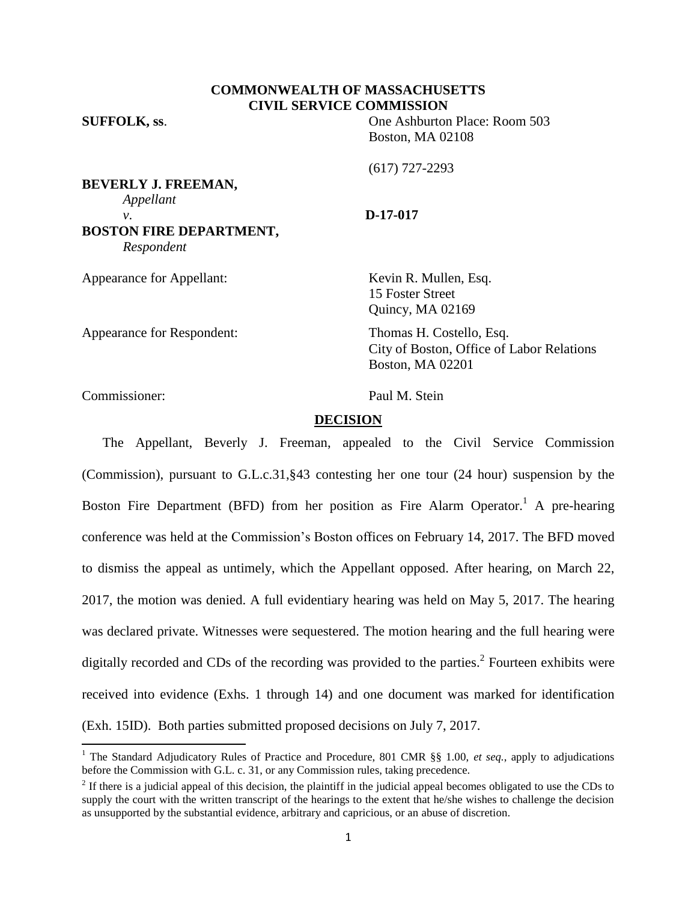# **COMMONWEALTH OF MASSACHUSETTS CIVIL SERVICE COMMISSION**

**SUFFOLK, ss**. One Ashburton Place: Room 503 Boston, MA 02108

(617) 727-2293

**BEVERLY J. FREEMAN,** *Appellant v*. **D-17-017 BOSTON FIRE DEPARTMENT,** *Respondent*

Appearance for Appellant: Kevin R. Mullen, Esq. 15 Foster Street Quincy, MA 02169

Appearance for Respondent: Thomas H. Costello, Esq.

City of Boston, Office of Labor Relations Boston, MA 02201

Commissioner: Paul M. Stein

l

## **DECISION**

The Appellant, Beverly J. Freeman, appealed to the Civil Service Commission (Commission), pursuant to G.L.c.31,§43 contesting her one tour (24 hour) suspension by the Boston Fire Department (BFD) from her position as Fire Alarm Operator.<sup>1</sup> A pre-hearing conference was held at the Commission's Boston offices on February 14, 2017. The BFD moved to dismiss the appeal as untimely, which the Appellant opposed. After hearing, on March 22, 2017, the motion was denied. A full evidentiary hearing was held on May 5, 2017. The hearing was declared private. Witnesses were sequestered. The motion hearing and the full hearing were digitally recorded and CDs of the recording was provided to the parties.<sup>2</sup> Fourteen exhibits were received into evidence (Exhs. 1 through 14) and one document was marked for identification (Exh. 15ID). Both parties submitted proposed decisions on July 7, 2017.

<sup>&</sup>lt;sup>1</sup> The Standard Adjudicatory Rules of Practice and Procedure, 801 CMR §§ 1.00, et seq., apply to adjudications before the Commission with G.L. c. 31, or any Commission rules, taking precedence.

 $2<sup>2</sup>$  If there is a judicial appeal of this decision, the plaintiff in the judicial appeal becomes obligated to use the CDs to supply the court with the written transcript of the hearings to the extent that he/she wishes to challenge the decision as unsupported by the substantial evidence, arbitrary and capricious, or an abuse of discretion.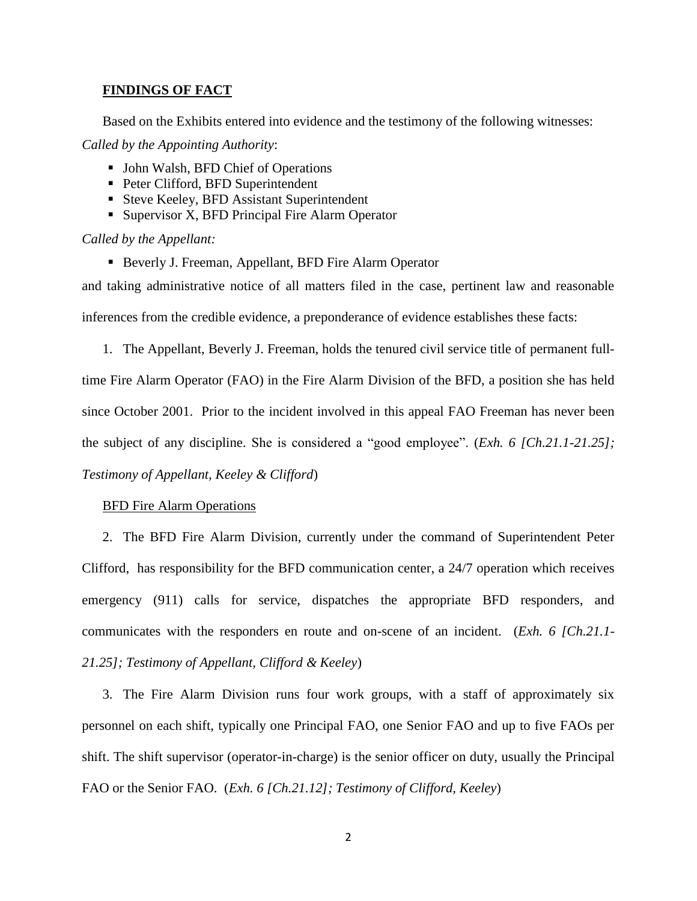## **FINDINGS OF FACT**

Based on the Exhibits entered into evidence and the testimony of the following witnesses:

*Called by the Appointing Authority*:

- John Walsh, BFD Chief of Operations
- Peter Clifford, BFD Superintendent
- Steve Keeley, BFD Assistant Superintendent
- Supervisor X, BFD Principal Fire Alarm Operator

*Called by the Appellant:*

■ Beverly J. Freeman, Appellant, BFD Fire Alarm Operator

and taking administrative notice of all matters filed in the case, pertinent law and reasonable inferences from the credible evidence, a preponderance of evidence establishes these facts:

1. The Appellant, Beverly J. Freeman, holds the tenured civil service title of permanent fulltime Fire Alarm Operator (FAO) in the Fire Alarm Division of the BFD, a position she has held since October 2001. Prior to the incident involved in this appeal FAO Freeman has never been the subject of any discipline. She is considered a "good employee". (*Exh. 6 [Ch.21.1-21.25]; Testimony of Appellant, Keeley & Clifford*)

## BFD Fire Alarm Operations

2. The BFD Fire Alarm Division, currently under the command of Superintendent Peter Clifford, has responsibility for the BFD communication center, a 24/7 operation which receives emergency (911) calls for service, dispatches the appropriate BFD responders, and communicates with the responders en route and on-scene of an incident. (*Exh. 6 [Ch.21.1- 21.25]; Testimony of Appellant, Clifford & Keeley*)

3. The Fire Alarm Division runs four work groups, with a staff of approximately six personnel on each shift, typically one Principal FAO, one Senior FAO and up to five FAOs per shift. The shift supervisor (operator-in-charge) is the senior officer on duty, usually the Principal FAO or the Senior FAO. (*Exh. 6 [Ch.21.12]; Testimony of Clifford, Keeley*)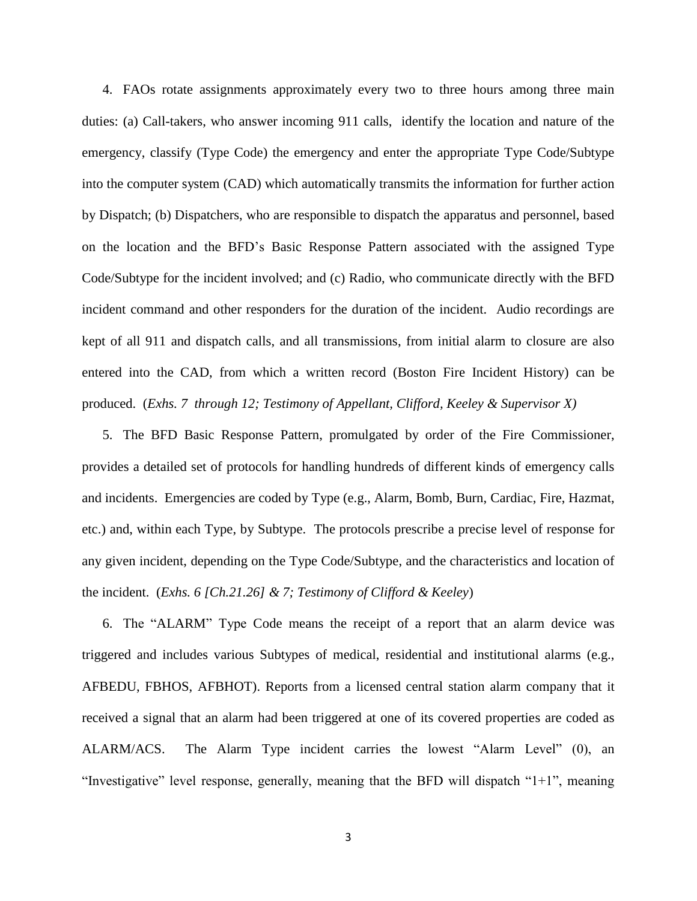4. FAOs rotate assignments approximately every two to three hours among three main duties: (a) Call-takers, who answer incoming 911 calls, identify the location and nature of the emergency, classify (Type Code) the emergency and enter the appropriate Type Code/Subtype into the computer system (CAD) which automatically transmits the information for further action by Dispatch; (b) Dispatchers, who are responsible to dispatch the apparatus and personnel, based on the location and the BFD's Basic Response Pattern associated with the assigned Type Code/Subtype for the incident involved; and (c) Radio, who communicate directly with the BFD incident command and other responders for the duration of the incident. Audio recordings are kept of all 911 and dispatch calls, and all transmissions, from initial alarm to closure are also entered into the CAD, from which a written record (Boston Fire Incident History) can be produced. (*Exhs. 7 through 12; Testimony of Appellant, Clifford, Keeley & Supervisor X)*

5. The BFD Basic Response Pattern, promulgated by order of the Fire Commissioner, provides a detailed set of protocols for handling hundreds of different kinds of emergency calls and incidents. Emergencies are coded by Type (e.g., Alarm, Bomb, Burn, Cardiac, Fire, Hazmat, etc.) and, within each Type, by Subtype. The protocols prescribe a precise level of response for any given incident, depending on the Type Code/Subtype, and the characteristics and location of the incident. (*Exhs. 6 [Ch.21.26] & 7; Testimony of Clifford & Keeley*)

6. The "ALARM" Type Code means the receipt of a report that an alarm device was triggered and includes various Subtypes of medical, residential and institutional alarms (e.g., AFBEDU, FBHOS, AFBHOT). Reports from a licensed central station alarm company that it received a signal that an alarm had been triggered at one of its covered properties are coded as ALARM/ACS. The Alarm Type incident carries the lowest "Alarm Level" (0), an "Investigative" level response, generally, meaning that the BFD will dispatch "1+1", meaning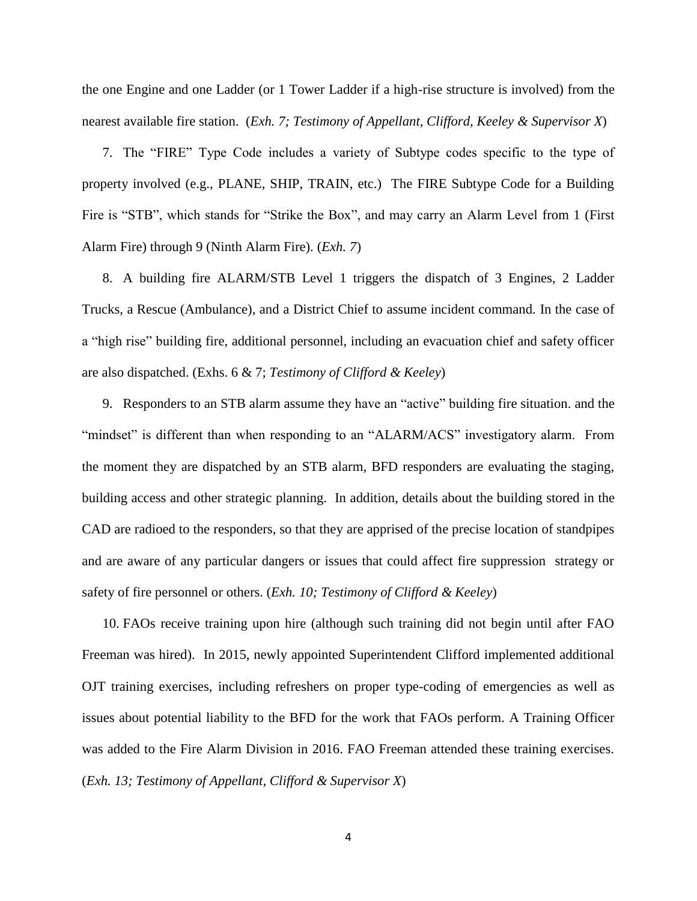the one Engine and one Ladder (or 1 Tower Ladder if a high-rise structure is involved) from the nearest available fire station. (*Exh. 7; Testimony of Appellant, Clifford, Keeley & Supervisor X*)

7. The "FIRE" Type Code includes a variety of Subtype codes specific to the type of property involved (e.g., PLANE, SHIP, TRAIN, etc.) The FIRE Subtype Code for a Building Fire is "STB", which stands for "Strike the Box", and may carry an Alarm Level from 1 (First Alarm Fire) through 9 (Ninth Alarm Fire). (*Exh. 7*)

8. A building fire ALARM/STB Level 1 triggers the dispatch of 3 Engines, 2 Ladder Trucks, a Rescue (Ambulance), and a District Chief to assume incident command. In the case of a "high rise" building fire, additional personnel, including an evacuation chief and safety officer are also dispatched. (Exhs. 6 & 7; *Testimony of Clifford & Keeley*)

9. Responders to an STB alarm assume they have an "active" building fire situation. and the "mindset" is different than when responding to an "ALARM/ACS" investigatory alarm. From the moment they are dispatched by an STB alarm, BFD responders are evaluating the staging, building access and other strategic planning. In addition, details about the building stored in the CAD are radioed to the responders, so that they are apprised of the precise location of standpipes and are aware of any particular dangers or issues that could affect fire suppression strategy or safety of fire personnel or others. (*Exh. 10; Testimony of Clifford & Keeley*)

10. FAOs receive training upon hire (although such training did not begin until after FAO Freeman was hired). In 2015, newly appointed Superintendent Clifford implemented additional OJT training exercises, including refreshers on proper type-coding of emergencies as well as issues about potential liability to the BFD for the work that FAOs perform. A Training Officer was added to the Fire Alarm Division in 2016. FAO Freeman attended these training exercises. (*Exh. 13; Testimony of Appellant, Clifford & Supervisor X*)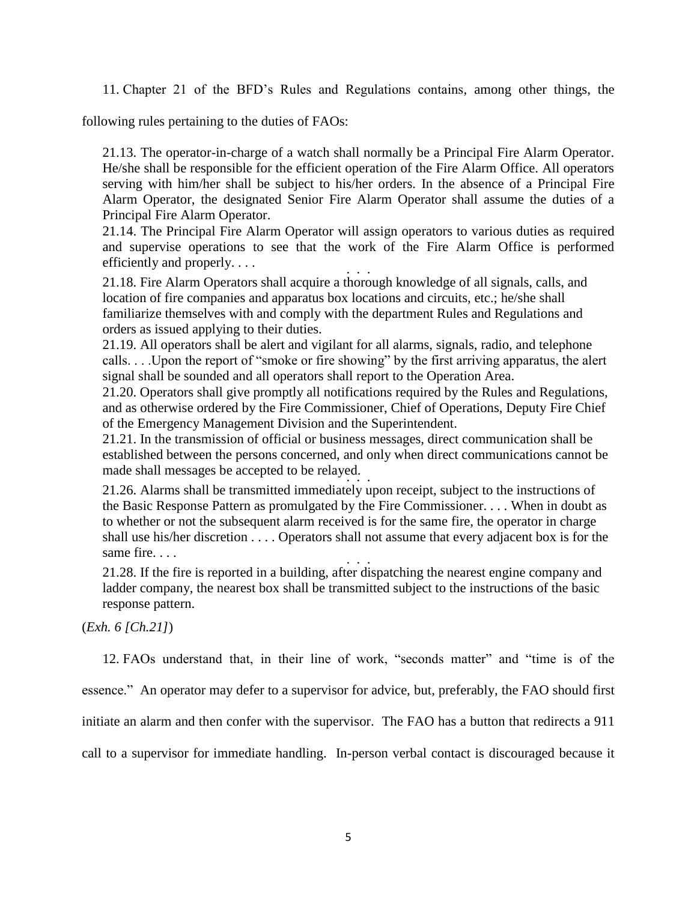11. Chapter 21 of the BFD's Rules and Regulations contains, among other things, the

following rules pertaining to the duties of FAOs:

21.13. The operator-in-charge of a watch shall normally be a Principal Fire Alarm Operator. He/she shall be responsible for the efficient operation of the Fire Alarm Office. All operators serving with him/her shall be subject to his/her orders. In the absence of a Principal Fire Alarm Operator, the designated Senior Fire Alarm Operator shall assume the duties of a Principal Fire Alarm Operator.

21.14. The Principal Fire Alarm Operator will assign operators to various duties as required and supervise operations to see that the work of the Fire Alarm Office is performed efficiently and properly. . . . . . .

21.18. Fire Alarm Operators shall acquire a thorough knowledge of all signals, calls, and location of fire companies and apparatus box locations and circuits, etc.; he/she shall familiarize themselves with and comply with the department Rules and Regulations and orders as issued applying to their duties.

21.19. All operators shall be alert and vigilant for all alarms, signals, radio, and telephone calls. . . .Upon the report of "smoke or fire showing" by the first arriving apparatus, the alert signal shall be sounded and all operators shall report to the Operation Area.

21.20. Operators shall give promptly all notifications required by the Rules and Regulations, and as otherwise ordered by the Fire Commissioner, Chief of Operations, Deputy Fire Chief of the Emergency Management Division and the Superintendent.

21.21. In the transmission of official or business messages, direct communication shall be established between the persons concerned, and only when direct communications cannot be made shall messages be accepted to be relayed. . . .

21.26. Alarms shall be transmitted immediately upon receipt, subject to the instructions of the Basic Response Pattern as promulgated by the Fire Commissioner. . . . When in doubt as to whether or not the subsequent alarm received is for the same fire, the operator in charge shall use his/her discretion . . . . Operators shall not assume that every adjacent box is for the same fire... . . .

21.28. If the fire is reported in a building, after dispatching the nearest engine company and ladder company, the nearest box shall be transmitted subject to the instructions of the basic response pattern.

(*Exh. 6 [Ch.21]*)

12. FAOs understand that, in their line of work, "seconds matter" and "time is of the

essence." An operator may defer to a supervisor for advice, but, preferably, the FAO should first

initiate an alarm and then confer with the supervisor. The FAO has a button that redirects a 911

call to a supervisor for immediate handling. In-person verbal contact is discouraged because it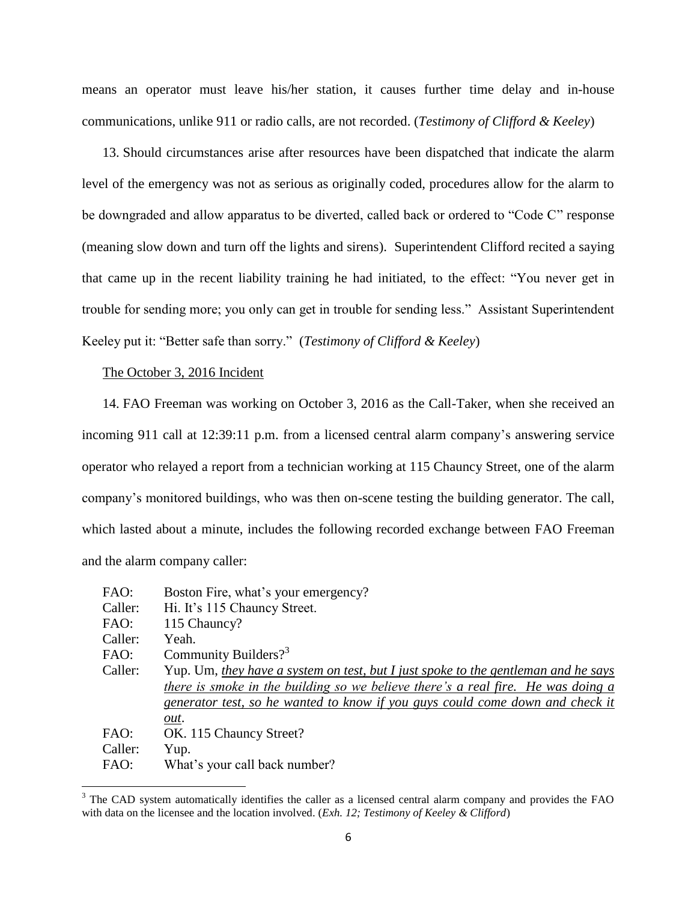means an operator must leave his/her station, it causes further time delay and in-house communications, unlike 911 or radio calls, are not recorded. (*Testimony of Clifford & Keeley*)

13. Should circumstances arise after resources have been dispatched that indicate the alarm level of the emergency was not as serious as originally coded, procedures allow for the alarm to be downgraded and allow apparatus to be diverted, called back or ordered to "Code C" response (meaning slow down and turn off the lights and sirens). Superintendent Clifford recited a saying that came up in the recent liability training he had initiated, to the effect: "You never get in trouble for sending more; you only can get in trouble for sending less." Assistant Superintendent Keeley put it: "Better safe than sorry." (*Testimony of Clifford & Keeley*)

#### The October 3, 2016 Incident

 $\overline{\phantom{a}}$ 

14. FAO Freeman was working on October 3, 2016 as the Call-Taker, when she received an incoming 911 call at 12:39:11 p.m. from a licensed central alarm company's answering service operator who relayed a report from a technician working at 115 Chauncy Street, one of the alarm company's monitored buildings, who was then on-scene testing the building generator. The call, which lasted about a minute, includes the following recorded exchange between FAO Freeman and the alarm company caller:

| FAO:    | Boston Fire, what's your emergency?                                                |
|---------|------------------------------------------------------------------------------------|
| Caller: | Hi. It's 115 Chauncy Street.                                                       |
| FAO:    | 115 Chauncy?                                                                       |
| Caller: | Yeah.                                                                              |
| FAO:    | Community Builders? <sup>3</sup>                                                   |
| Caller: | Yup. Um, they have a system on test, but I just spoke to the gentleman and he says |
|         | there is smoke in the building so we believe there's a real fire. He was doing a   |
|         | generator test, so he wanted to know if you guys could come down and check it      |
|         | out.                                                                               |
| FAO:    | OK. 115 Chauncy Street?                                                            |
| Caller: | Yup.                                                                               |
| FAO:    | What's your call back number?                                                      |

<sup>&</sup>lt;sup>3</sup> The CAD system automatically identifies the caller as a licensed central alarm company and provides the FAO with data on the licensee and the location involved. (*Exh. 12; Testimony of Keeley & Clifford*)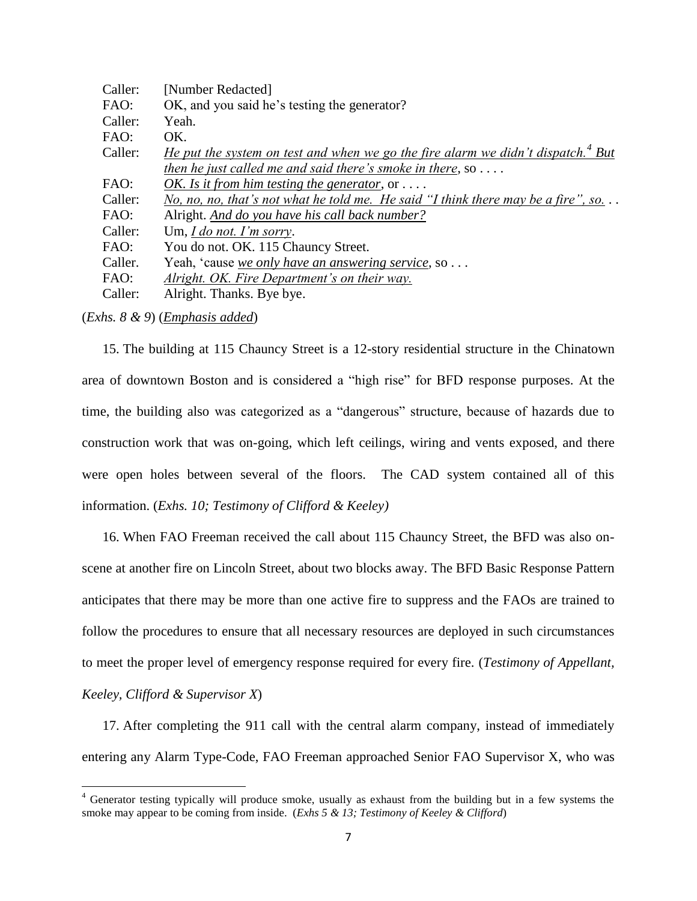| Caller: | [Number Redacted]                                                                                  |
|---------|----------------------------------------------------------------------------------------------------|
| FAO:    | OK, and you said he's testing the generator?                                                       |
| Caller: | Yeah.                                                                                              |
| FAO:    | OK.                                                                                                |
| Caller: | <u>He put the system on test and when we go the fire alarm we didn't dispatch.<sup>4</sup> But</u> |
|         | then he just called me and said there's smoke in there, so $\dots$ .                               |
| FAO:    | OK. Is it from him testing the generator, or $\dots$ .                                             |
| Caller: | No, no, no, that's not what he told me. He said "I think there may be a fire", so. $\ldots$        |
| FAO:    | Alright. And do you have his call back number?                                                     |
| Caller: | Um, $Ido$ not. I'm sorry.                                                                          |
| FAO:    | You do not. OK. 115 Chauncy Street.                                                                |
| Caller. | Yeah, 'cause we only have an answering service, so                                                 |
| FAO:    | Alright. OK. Fire Department's on their way.                                                       |
| Caller: | Alright. Thanks. Bye bye.                                                                          |
|         |                                                                                                    |

(*Exhs. 8 & 9*) (*Emphasis added*)

 $\overline{\phantom{a}}$ 

15. The building at 115 Chauncy Street is a 12-story residential structure in the Chinatown area of downtown Boston and is considered a "high rise" for BFD response purposes. At the time, the building also was categorized as a "dangerous" structure, because of hazards due to construction work that was on-going, which left ceilings, wiring and vents exposed, and there were open holes between several of the floors. The CAD system contained all of this information. (*Exhs. 10; Testimony of Clifford & Keeley)*

16. When FAO Freeman received the call about 115 Chauncy Street, the BFD was also onscene at another fire on Lincoln Street, about two blocks away. The BFD Basic Response Pattern anticipates that there may be more than one active fire to suppress and the FAOs are trained to follow the procedures to ensure that all necessary resources are deployed in such circumstances to meet the proper level of emergency response required for every fire. (*Testimony of Appellant, Keeley, Clifford & Supervisor X*)

17. After completing the 911 call with the central alarm company, instead of immediately entering any Alarm Type-Code, FAO Freeman approached Senior FAO Supervisor X, who was

<sup>4</sup> Generator testing typically will produce smoke, usually as exhaust from the building but in a few systems the smoke may appear to be coming from inside. (*Exhs 5 & 13; Testimony of Keeley & Clifford*)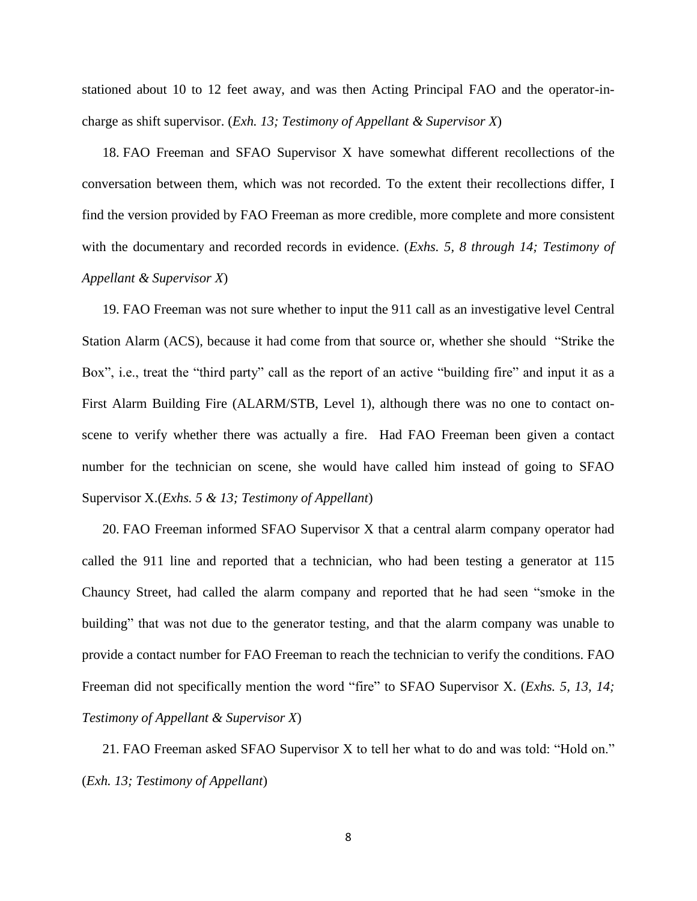stationed about 10 to 12 feet away, and was then Acting Principal FAO and the operator-incharge as shift supervisor. (*Exh. 13; Testimony of Appellant & Supervisor X*)

18. FAO Freeman and SFAO Supervisor X have somewhat different recollections of the conversation between them, which was not recorded. To the extent their recollections differ, I find the version provided by FAO Freeman as more credible, more complete and more consistent with the documentary and recorded records in evidence. (*Exhs. 5, 8 through 14; Testimony of Appellant & Supervisor X*)

19. FAO Freeman was not sure whether to input the 911 call as an investigative level Central Station Alarm (ACS), because it had come from that source or, whether she should "Strike the Box", i.e., treat the "third party" call as the report of an active "building fire" and input it as a First Alarm Building Fire (ALARM/STB, Level 1), although there was no one to contact onscene to verify whether there was actually a fire. Had FAO Freeman been given a contact number for the technician on scene, she would have called him instead of going to SFAO Supervisor X.(*Exhs. 5 & 13; Testimony of Appellant*)

20. FAO Freeman informed SFAO Supervisor X that a central alarm company operator had called the 911 line and reported that a technician, who had been testing a generator at 115 Chauncy Street, had called the alarm company and reported that he had seen "smoke in the building" that was not due to the generator testing, and that the alarm company was unable to provide a contact number for FAO Freeman to reach the technician to verify the conditions. FAO Freeman did not specifically mention the word "fire" to SFAO Supervisor X. (*Exhs. 5, 13, 14; Testimony of Appellant & Supervisor X*)

21. FAO Freeman asked SFAO Supervisor X to tell her what to do and was told: "Hold on." (*Exh. 13; Testimony of Appellant*)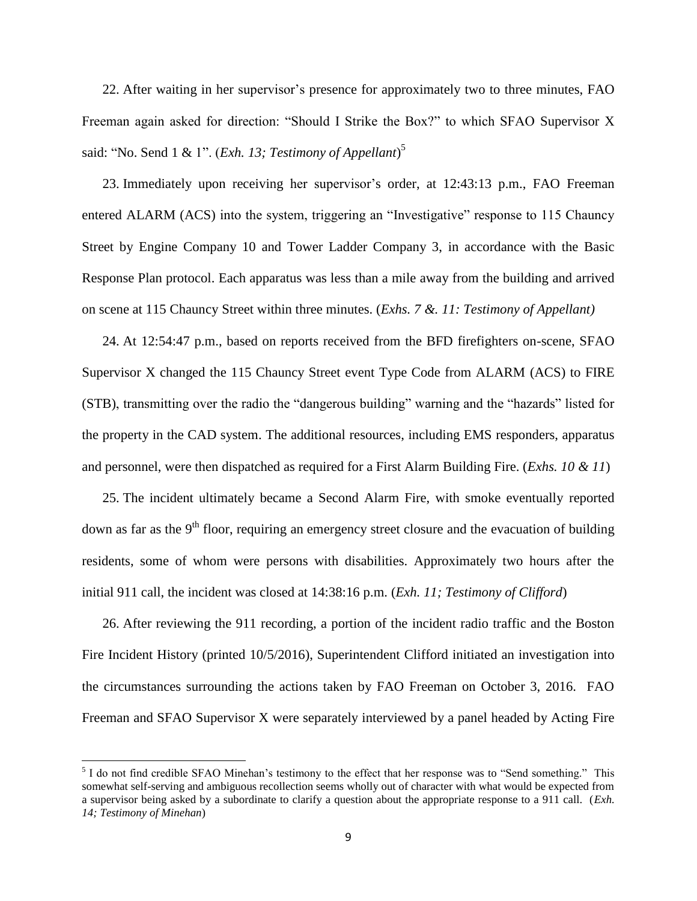22. After waiting in her supervisor's presence for approximately two to three minutes, FAO Freeman again asked for direction: "Should I Strike the Box?" to which SFAO Supervisor X said: "No. Send 1 & 1". (*Exh. 13; Testimony of Appellant*) 5

23. Immediately upon receiving her supervisor's order, at 12:43:13 p.m., FAO Freeman entered ALARM (ACS) into the system, triggering an "Investigative" response to 115 Chauncy Street by Engine Company 10 and Tower Ladder Company 3, in accordance with the Basic Response Plan protocol. Each apparatus was less than a mile away from the building and arrived on scene at 115 Chauncy Street within three minutes. (*Exhs. 7 &. 11: Testimony of Appellant)*

24. At 12:54:47 p.m., based on reports received from the BFD firefighters on-scene, SFAO Supervisor X changed the 115 Chauncy Street event Type Code from ALARM (ACS) to FIRE (STB), transmitting over the radio the "dangerous building" warning and the "hazards" listed for the property in the CAD system. The additional resources, including EMS responders, apparatus and personnel, were then dispatched as required for a First Alarm Building Fire. (*Exhs. 10 & 11*)

25. The incident ultimately became a Second Alarm Fire, with smoke eventually reported down as far as the 9<sup>th</sup> floor, requiring an emergency street closure and the evacuation of building residents, some of whom were persons with disabilities. Approximately two hours after the initial 911 call, the incident was closed at 14:38:16 p.m. (*Exh. 11; Testimony of Clifford*)

26. After reviewing the 911 recording, a portion of the incident radio traffic and the Boston Fire Incident History (printed 10/5/2016), Superintendent Clifford initiated an investigation into the circumstances surrounding the actions taken by FAO Freeman on October 3, 2016. FAO Freeman and SFAO Supervisor X were separately interviewed by a panel headed by Acting Fire

 $\overline{\phantom{a}}$ 

<sup>&</sup>lt;sup>5</sup> I do not find credible SFAO Minehan's testimony to the effect that her response was to "Send something." This somewhat self-serving and ambiguous recollection seems wholly out of character with what would be expected from a supervisor being asked by a subordinate to clarify a question about the appropriate response to a 911 call. (*Exh. 14; Testimony of Minehan*)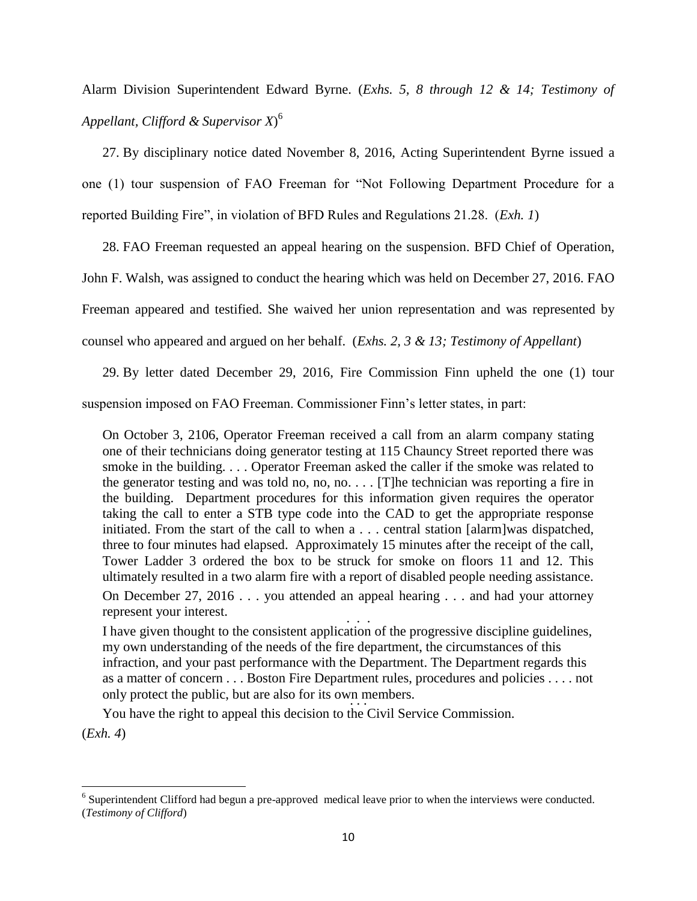Alarm Division Superintendent Edward Byrne. (*Exhs. 5, 8 through 12 & 14; Testimony of Appellant, Clifford & Supervisor X*) 6

27. By disciplinary notice dated November 8, 2016, Acting Superintendent Byrne issued a one (1) tour suspension of FAO Freeman for "Not Following Department Procedure for a reported Building Fire", in violation of BFD Rules and Regulations 21.28. (*Exh. 1*)

28. FAO Freeman requested an appeal hearing on the suspension. BFD Chief of Operation,

John F. Walsh, was assigned to conduct the hearing which was held on December 27, 2016. FAO

Freeman appeared and testified. She waived her union representation and was represented by

counsel who appeared and argued on her behalf. (*Exhs. 2, 3 & 13; Testimony of Appellant*)

29. By letter dated December 29, 2016, Fire Commission Finn upheld the one (1) tour suspension imposed on FAO Freeman. Commissioner Finn's letter states, in part:

On October 3, 2106, Operator Freeman received a call from an alarm company stating one of their technicians doing generator testing at 115 Chauncy Street reported there was smoke in the building. . . . Operator Freeman asked the caller if the smoke was related to the generator testing and was told no, no, no. . . . [T]he technician was reporting a fire in the building. Department procedures for this information given requires the operator taking the call to enter a STB type code into the CAD to get the appropriate response initiated. From the start of the call to when a . . . central station [alarm]was dispatched, three to four minutes had elapsed. Approximately 15 minutes after the receipt of the call, Tower Ladder 3 ordered the box to be struck for smoke on floors 11 and 12. This ultimately resulted in a two alarm fire with a report of disabled people needing assistance. On December 27, 2016 . . . you attended an appeal hearing . . . and had your attorney

represent your interest.

. . . I have given thought to the consistent application of the progressive discipline guidelines, my own understanding of the needs of the fire department, the circumstances of this infraction, and your past performance with the Department. The Department regards this as a matter of concern . . . Boston Fire Department rules, procedures and policies . . . . not only protect the public, but are also for its own members. . . .

You have the right to appeal this decision to the Civil Service Commission.

(*Exh. 4*)

 $\overline{\phantom{a}}$  $6$  Superintendent Clifford had begun a pre-approved medical leave prior to when the interviews were conducted. (*Testimony of Clifford*)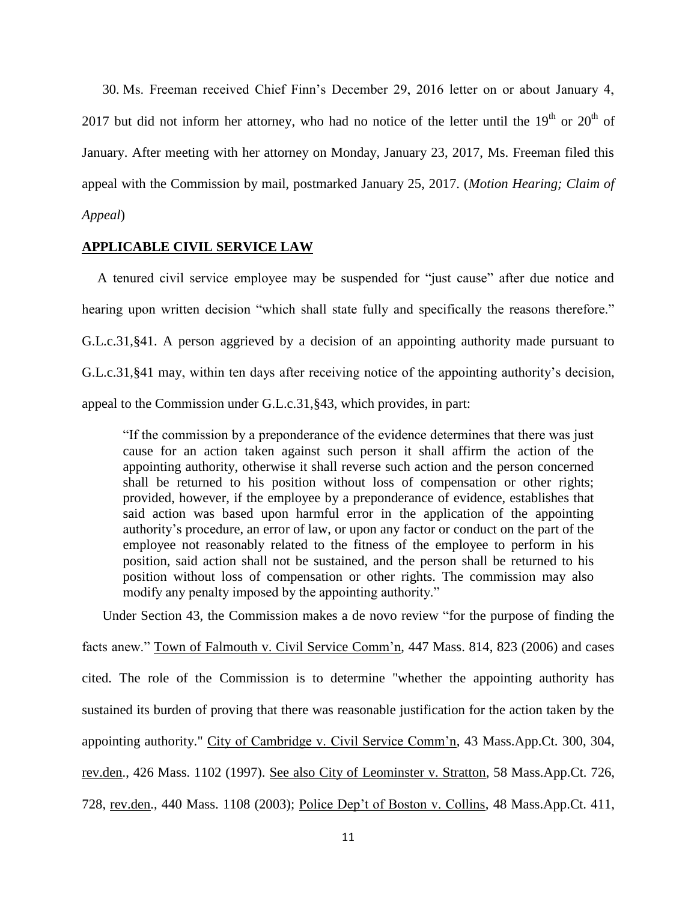30. Ms. Freeman received Chief Finn's December 29, 2016 letter on or about January 4, 2017 but did not inform her attorney, who had no notice of the letter until the  $19<sup>th</sup>$  or  $20<sup>th</sup>$  of January. After meeting with her attorney on Monday, January 23, 2017, Ms. Freeman filed this appeal with the Commission by mail, postmarked January 25, 2017. (*Motion Hearing; Claim of Appeal*)

## **APPLICABLE CIVIL SERVICE LAW**

A tenured civil service employee may be suspended for "just cause" after due notice and hearing upon written decision "which shall state fully and specifically the reasons therefore." G.L.c.31,§41. A person aggrieved by a decision of an appointing authority made pursuant to G.L.c.31,§41 may, within ten days after receiving notice of the appointing authority's decision, appeal to the Commission under G.L.c.31,§43, which provides, in part:

"If the commission by a preponderance of the evidence determines that there was just cause for an action taken against such person it shall affirm the action of the appointing authority, otherwise it shall reverse such action and the person concerned shall be returned to his position without loss of compensation or other rights; provided, however, if the employee by a preponderance of evidence, establishes that said action was based upon harmful error in the application of the appointing authority's procedure, an error of law, or upon any factor or conduct on the part of the employee not reasonably related to the fitness of the employee to perform in his position, said action shall not be sustained, and the person shall be returned to his position without loss of compensation or other rights. The commission may also modify any penalty imposed by the appointing authority."

Under Section 43, the Commission makes a de novo review "for the purpose of finding the facts anew." Town of Falmouth v. Civil Service Comm'n, 447 Mass. 814, 823 (2006) and cases cited. The role of the Commission is to determine "whether the appointing authority has sustained its burden of proving that there was reasonable justification for the action taken by the appointing authority." City of Cambridge v. Civil Service Comm'n, 43 Mass.App.Ct. 300, 304, rev.den., 426 Mass. 1102 (1997). See also City of Leominster v. Stratton, 58 Mass.App.Ct. 726, 728, rev.den., 440 Mass. 1108 (2003); Police Dep't of Boston v. Collins, 48 Mass.App.Ct. 411,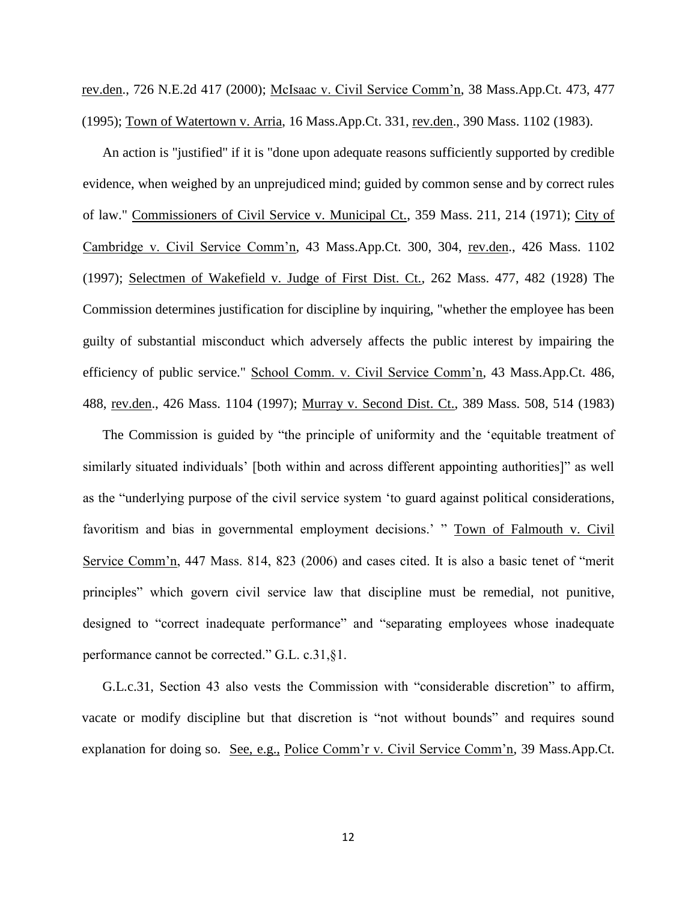rev.den., 726 N.E.2d 417 (2000); McIsaac v. Civil Service Comm'n, 38 Mass.App.Ct. 473, 477 (1995); Town of Watertown v. Arria, 16 Mass.App.Ct. 331, rev.den., 390 Mass. 1102 (1983).

An action is "justified" if it is "done upon adequate reasons sufficiently supported by credible evidence, when weighed by an unprejudiced mind; guided by common sense and by correct rules of law." Commissioners of Civil Service v. Municipal Ct., 359 Mass. 211, 214 (1971); City of Cambridge v. Civil Service Comm'n, 43 Mass.App.Ct. 300, 304, rev.den., 426 Mass. 1102 (1997); Selectmen of Wakefield v. Judge of First Dist. Ct., 262 Mass. 477, 482 (1928) The Commission determines justification for discipline by inquiring, "whether the employee has been guilty of substantial misconduct which adversely affects the public interest by impairing the efficiency of public service." School Comm. v. Civil Service Comm'n, 43 Mass.App.Ct. 486, 488, rev.den., 426 Mass. 1104 (1997); Murray v. Second Dist. Ct., 389 Mass. 508, 514 (1983)

The Commission is guided by "the principle of uniformity and the 'equitable treatment of similarly situated individuals' [both within and across different appointing authorities]" as well as the "underlying purpose of the civil service system 'to guard against political considerations, favoritism and bias in governmental employment decisions.' " Town of Falmouth v. Civil Service Comm'n, 447 Mass. 814, 823 (2006) and cases cited. It is also a basic tenet of "merit principles" which govern civil service law that discipline must be remedial, not punitive, designed to "correct inadequate performance" and "separating employees whose inadequate performance cannot be corrected." G.L. c.31,§1.

G.L.c.31, Section 43 also vests the Commission with "considerable discretion" to affirm, vacate or modify discipline but that discretion is "not without bounds" and requires sound explanation for doing so. See, e.g., Police Comm'r v. Civil Service Comm'n, 39 Mass.App.Ct.

12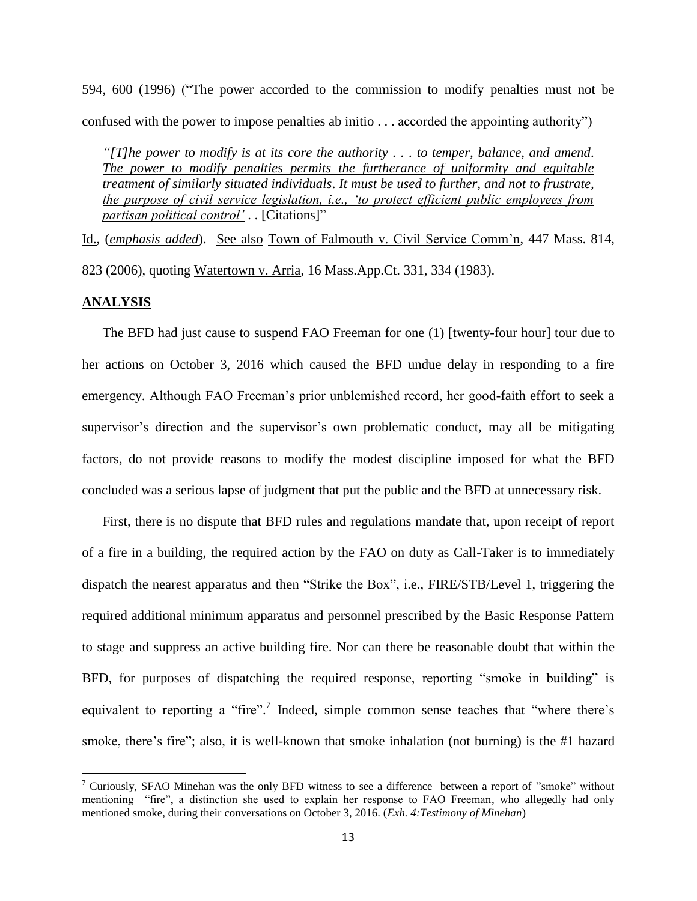594, 600 (1996) ("The power accorded to the commission to modify penalties must not be confused with the power to impose penalties ab initio . . . accorded the appointing authority")

*"[T]he power to modify is at its core the authority . . . to temper, balance, and amend*. *The power to modify penalties permits the furtherance of uniformity and equitable treatment of similarly situated individuals*. *It must be used to further, and not to frustrate, the purpose of civil service legislation, i.e., 'to protect efficient public employees from partisan political control'* . . [Citations]"

Id., (*emphasis added*). See also Town of Falmouth v. Civil Service Comm'n, 447 Mass. 814, 823 (2006), quoting Watertown v. Arria, 16 Mass.App.Ct. 331, 334 (1983).

# **ANALYSIS**

 $\overline{\phantom{a}}$ 

The BFD had just cause to suspend FAO Freeman for one (1) [twenty-four hour] tour due to her actions on October 3, 2016 which caused the BFD undue delay in responding to a fire emergency. Although FAO Freeman's prior unblemished record, her good-faith effort to seek a supervisor's direction and the supervisor's own problematic conduct, may all be mitigating factors, do not provide reasons to modify the modest discipline imposed for what the BFD concluded was a serious lapse of judgment that put the public and the BFD at unnecessary risk.

First, there is no dispute that BFD rules and regulations mandate that, upon receipt of report of a fire in a building, the required action by the FAO on duty as Call-Taker is to immediately dispatch the nearest apparatus and then "Strike the Box", i.e., FIRE/STB/Level 1, triggering the required additional minimum apparatus and personnel prescribed by the Basic Response Pattern to stage and suppress an active building fire. Nor can there be reasonable doubt that within the BFD, for purposes of dispatching the required response, reporting "smoke in building" is equivalent to reporting a "fire".<sup>7</sup> Indeed, simple common sense teaches that "where there's smoke, there's fire"; also, it is well-known that smoke inhalation (not burning) is the #1 hazard

<sup>&</sup>lt;sup>7</sup> Curiously, SFAO Minehan was the only BFD witness to see a difference between a report of "smoke" without mentioning "fire", a distinction she used to explain her response to FAO Freeman, who allegedly had only mentioned smoke, during their conversations on October 3, 2016. (*Exh. 4:Testimony of Minehan*)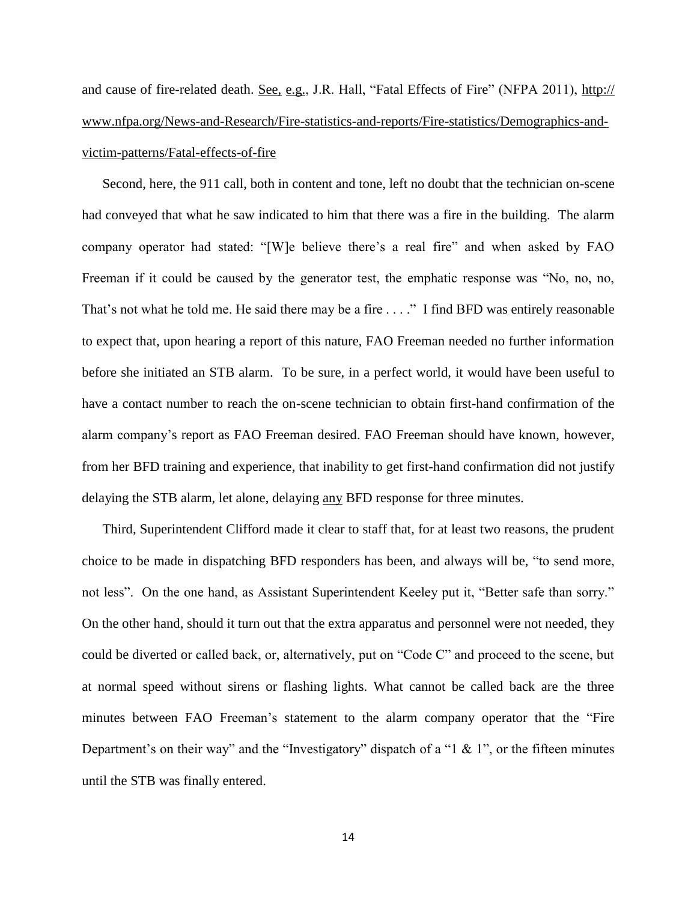and cause of fire-related death. See, e.g., J.R. Hall, "Fatal Effects of Fire" (NFPA 2011), http:// www.nfpa.org/News-and-Research/Fire-statistics-and-reports/Fire-statistics/Demographics-andvictim-patterns/Fatal-effects-of-fire

Second, here, the 911 call, both in content and tone, left no doubt that the technician on-scene had conveyed that what he saw indicated to him that there was a fire in the building. The alarm company operator had stated: "[W]e believe there's a real fire" and when asked by FAO Freeman if it could be caused by the generator test, the emphatic response was "No, no, no, That's not what he told me. He said there may be a fire . . . ." I find BFD was entirely reasonable to expect that, upon hearing a report of this nature, FAO Freeman needed no further information before she initiated an STB alarm. To be sure, in a perfect world, it would have been useful to have a contact number to reach the on-scene technician to obtain first-hand confirmation of the alarm company's report as FAO Freeman desired. FAO Freeman should have known, however, from her BFD training and experience, that inability to get first-hand confirmation did not justify delaying the STB alarm, let alone, delaying any BFD response for three minutes.

Third, Superintendent Clifford made it clear to staff that, for at least two reasons, the prudent choice to be made in dispatching BFD responders has been, and always will be, "to send more, not less". On the one hand, as Assistant Superintendent Keeley put it, "Better safe than sorry." On the other hand, should it turn out that the extra apparatus and personnel were not needed, they could be diverted or called back, or, alternatively, put on "Code C" and proceed to the scene, but at normal speed without sirens or flashing lights. What cannot be called back are the three minutes between FAO Freeman's statement to the alarm company operator that the "Fire Department's on their way" and the "Investigatory" dispatch of a "1  $\&$  1", or the fifteen minutes until the STB was finally entered.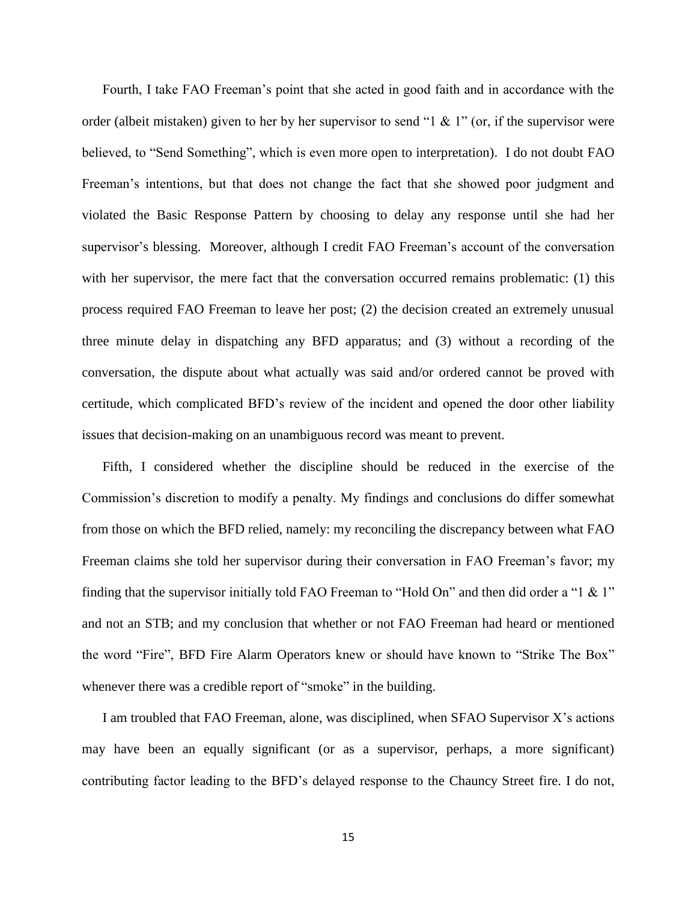Fourth, I take FAO Freeman's point that she acted in good faith and in accordance with the order (albeit mistaken) given to her by her supervisor to send "1  $\&$  1" (or, if the supervisor were believed, to "Send Something", which is even more open to interpretation). I do not doubt FAO Freeman's intentions, but that does not change the fact that she showed poor judgment and violated the Basic Response Pattern by choosing to delay any response until she had her supervisor's blessing. Moreover, although I credit FAO Freeman's account of the conversation with her supervisor, the mere fact that the conversation occurred remains problematic: (1) this process required FAO Freeman to leave her post; (2) the decision created an extremely unusual three minute delay in dispatching any BFD apparatus; and (3) without a recording of the conversation, the dispute about what actually was said and/or ordered cannot be proved with certitude, which complicated BFD's review of the incident and opened the door other liability issues that decision-making on an unambiguous record was meant to prevent.

Fifth, I considered whether the discipline should be reduced in the exercise of the Commission's discretion to modify a penalty. My findings and conclusions do differ somewhat from those on which the BFD relied, namely: my reconciling the discrepancy between what FAO Freeman claims she told her supervisor during their conversation in FAO Freeman's favor; my finding that the supervisor initially told FAO Freeman to "Hold On" and then did order a "1 & 1" and not an STB; and my conclusion that whether or not FAO Freeman had heard or mentioned the word "Fire", BFD Fire Alarm Operators knew or should have known to "Strike The Box" whenever there was a credible report of "smoke" in the building.

I am troubled that FAO Freeman, alone, was disciplined, when SFAO Supervisor X's actions may have been an equally significant (or as a supervisor, perhaps, a more significant) contributing factor leading to the BFD's delayed response to the Chauncy Street fire. I do not,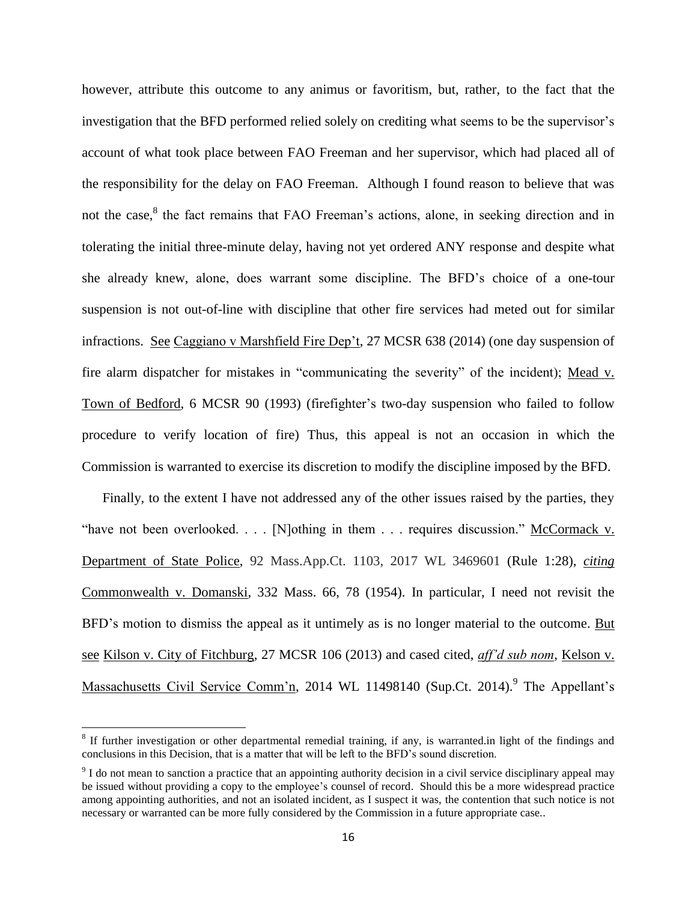however, attribute this outcome to any animus or favoritism, but, rather, to the fact that the investigation that the BFD performed relied solely on crediting what seems to be the supervisor's account of what took place between FAO Freeman and her supervisor, which had placed all of the responsibility for the delay on FAO Freeman. Although I found reason to believe that was not the case,<sup>8</sup> the fact remains that FAO Freeman's actions, alone, in seeking direction and in tolerating the initial three-minute delay, having not yet ordered ANY response and despite what she already knew, alone, does warrant some discipline. The BFD's choice of a one-tour suspension is not out-of-line with discipline that other fire services had meted out for similar infractions. See Caggiano v Marshfield Fire Dep't, 27 MCSR 638 (2014) (one day suspension of fire alarm dispatcher for mistakes in "communicating the severity" of the incident); Mead v. Town of Bedford, 6 MCSR 90 (1993) (firefighter's two-day suspension who failed to follow procedure to verify location of fire) Thus, this appeal is not an occasion in which the Commission is warranted to exercise its discretion to modify the discipline imposed by the BFD.

Finally, to the extent I have not addressed any of the other issues raised by the parties, they "have not been overlooked. . . . [N]othing in them . . . requires discussion." McCormack v. Department of State Police, 92 Mass.App.Ct. 1103, 2017 WL 3469601 (Rule 1:28), *citing* Commonwealth v. Domanski, 332 Mass. 66, 78 (1954). In particular, I need not revisit the BFD's motion to dismiss the appeal as it untimely as is no longer material to the outcome. But see Kilson v. City of Fitchburg, 27 MCSR 106 (2013) and cased cited, *aff'd sub nom*, Kelson v. Massachusetts Civil Service Comm'n, 2014 WL 11498140 (Sup.Ct. 2014).<sup>9</sup> The Appellant's

 $\overline{\phantom{a}}$ 

 $8$  If further investigation or other departmental remedial training, if any, is warranted.in light of the findings and conclusions in this Decision, that is a matter that will be left to the BFD's sound discretion.

 $9^9$  I do not mean to sanction a practice that an appointing authority decision in a civil service disciplinary appeal may be issued without providing a copy to the employee's counsel of record. Should this be a more widespread practice among appointing authorities, and not an isolated incident, as I suspect it was, the contention that such notice is not necessary or warranted can be more fully considered by the Commission in a future appropriate case..